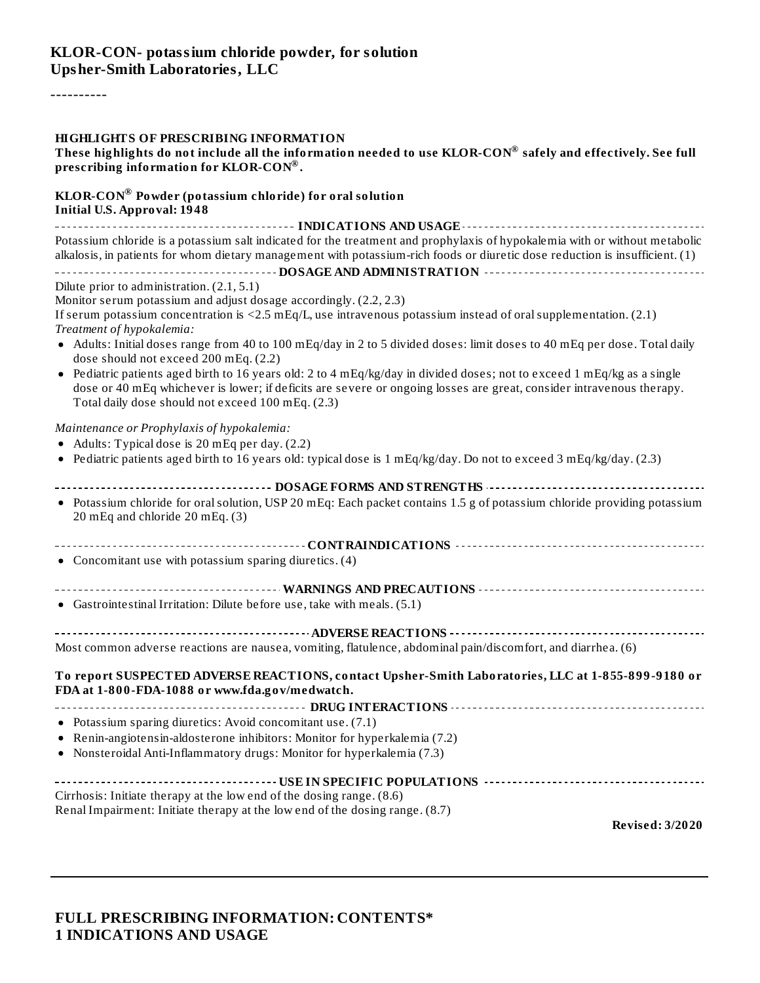----------

#### **HIGHLIGHTS OF PRESCRIBING INFORMATION**

| These highlights do not include all the information needed to use KLOR-CON® safely and effectively. See full |  |
|--------------------------------------------------------------------------------------------------------------|--|
| prescribing information for KLOR-CON®.                                                                       |  |

#### **KLOR-CON Powder (potassium chloride) for oral solution ®Initial U.S. Approval: 1948**

| Potassium chloride is a potassium salt indicated for the treatment and prophylaxis of hypokalemia with or without metabolic    |  |  |  |  |
|--------------------------------------------------------------------------------------------------------------------------------|--|--|--|--|
| alkalosis, in patients for whom dietary management with potassium-rich foods or diuretic dose reduction is insufficient. (1)   |  |  |  |  |
|                                                                                                                                |  |  |  |  |
|                                                                                                                                |  |  |  |  |
| Dilute prior to administration. $(2.1, 5.1)$                                                                                   |  |  |  |  |
| Monitor serum potassium and adjust dosage accordingly. (2.2, 2.3)                                                              |  |  |  |  |
| If comme a stressing rough attached in $22.5$ at $E_2/1$ and integration a stressing instead of and current an exterior. (2.4) |  |  |  |  |

If serum potassium concentration is <2.5 mEq/L, use intravenous potassium instead of oralsupplementation. (2.1) *Treatment of hypokalemia:*

- Adults: Initial doses range from 40 to 100 mEq/day in 2 to 5 divided doses: limit doses to 40 mEq per dose. Total daily dose should not exceed 200 mEq. (2.2)
- Pediatric patients aged birth to 16 years old: 2 to 4 mEq/kg/day in divided doses; not to exceed 1 mEq/kg as a single dose or 40 mEq whichever is lower; if deficits are severe or ongoing losses are great, consider intravenous therapy. Total daily dose should not exceed 100 mEq. (2.3)

*Maintenance or Prophylaxis of hypokalemia:*

- Adults: Typical dose is 20 mEq per day. (2.2)
- Pediatric patients aged birth to 16 years old: typical dose is 1 mEq/kg/day. Do not to exceed 3 mEq/kg/day. (2.3)

| • Potassium chloride for oral solution, USP 20 mEq: Each packet contains 1.5 g of potassium chloride providing potassium |
|--------------------------------------------------------------------------------------------------------------------------|
|                                                                                                                          |
|                                                                                                                          |
|                                                                                                                          |
|                                                                                                                          |
|                                                                                                                          |
|                                                                                                                          |
|                                                                                                                          |

| To report SUSPECTED ADVERSE REACTIONS, contact Upsher-Smith Laboratories, LLC at 1-855-899-9180 or |
|----------------------------------------------------------------------------------------------------|
| FDA at 1-800-FDA-1088 or www.fda.gov/medwatch.                                                     |
|                                                                                                    |
| • Potassium sparing diuretics: Avoid concomitant use. $(7.1)$                                      |
| • Renin-angiotensin-aldosterone inhibitors: Monitor for hyperkalemia (7.2)                         |
| • Nonsteroidal Anti-Inflammatory drugs: Monitor for hyperkalemia (7.3)                             |
|                                                                                                    |
| Cirrhosis: Initiate therapy at the low end of the dosing range. (8.6)                              |

Renal Impairment: Initiate therapy at the low end of the dosing range. (8.7)

**Revised: 3/2020**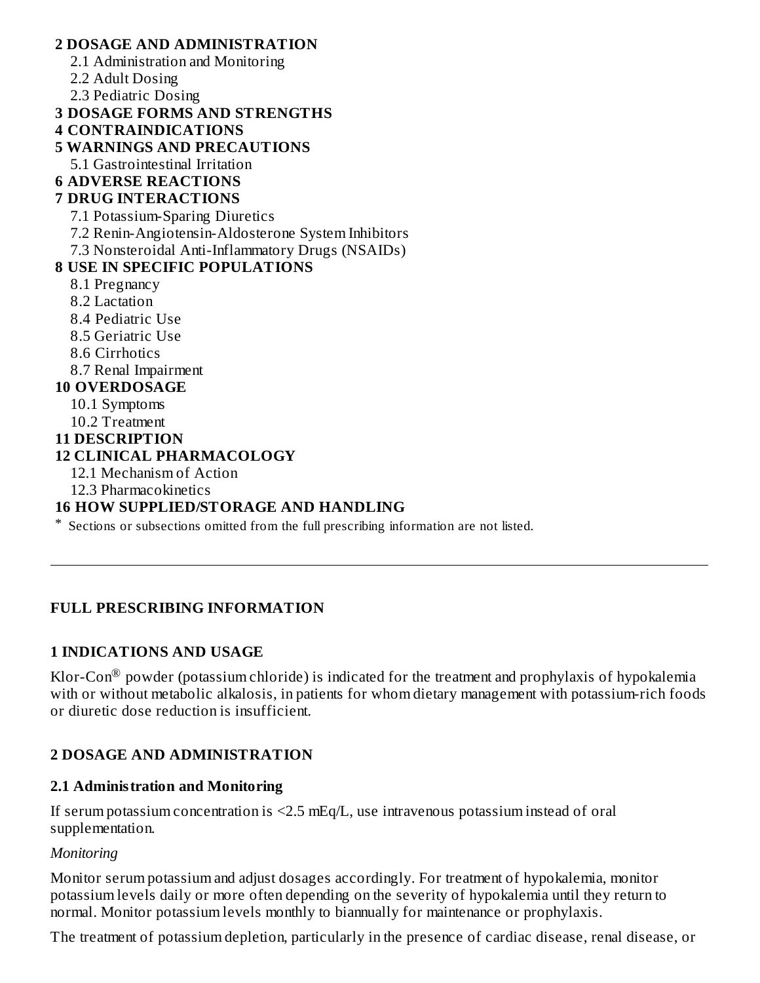#### **2 DOSAGE AND ADMINISTRATION**

- 2.1 Administration and Monitoring
- 2.2 Adult Dosing
- 2.3 Pediatric Dosing
- **3 DOSAGE FORMS AND STRENGTHS**
- **4 CONTRAINDICATIONS**
- **5 WARNINGS AND PRECAUTIONS**
	- 5.1 Gastrointestinal Irritation
- **6 ADVERSE REACTIONS**

## **7 DRUG INTERACTIONS**

- 7.1 Potassium-Sparing Diuretics
- 7.2 Renin-Angiotensin-Aldosterone System Inhibitors
- 7.3 Nonsteroidal Anti-Inflammatory Drugs (NSAIDs)

## **8 USE IN SPECIFIC POPULATIONS**

- 8.1 Pregnancy
- 8.2 Lactation
- 8.4 Pediatric Use
- 8.5 Geriatric Use
- 8.6 Cirrhotics
- 8.7 Renal Impairment

### **10 OVERDOSAGE**

- 10.1 Symptoms
- 10.2 Treatment

### **11 DESCRIPTION**

### **12 CLINICAL PHARMACOLOGY**

- 12.1 Mechanism of Action
- 12.3 Pharmacokinetics

## **16 HOW SUPPLIED/STORAGE AND HANDLING**

\* Sections or subsections omitted from the full prescribing information are not listed.

## **FULL PRESCRIBING INFORMATION**

## **1 INDICATIONS AND USAGE**

Klor-Con $^\circledR$  powder (potassium chloride) is indicated for the treatment and prophylaxis of hypokalemia with or without metabolic alkalosis, in patients for whom dietary management with potassium-rich foods or diuretic dose reduction is insufficient.

## **2 DOSAGE AND ADMINISTRATION**

### **2.1 Administration and Monitoring**

If serum potassium concentration is  $\leq$ 2.5 mEq/L, use intravenous potassium instead of oral supplementation.

### *Monitoring*

Monitor serum potassium and adjust dosages accordingly. For treatment of hypokalemia, monitor potassium levels daily or more often depending on the severity of hypokalemia until they return to normal. Monitor potassium levels monthly to biannually for maintenance or prophylaxis.

The treatment of potassium depletion, particularly in the presence of cardiac disease, renal disease, or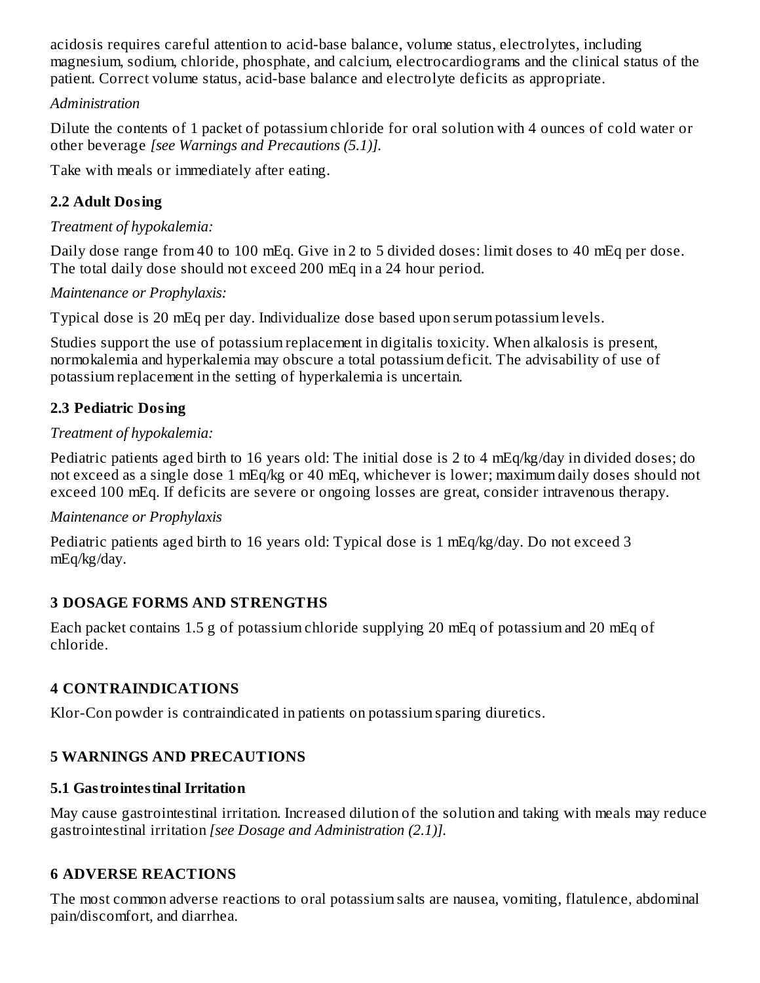acidosis requires careful attention to acid-base balance, volume status, electrolytes, including magnesium, sodium, chloride, phosphate, and calcium, electrocardiograms and the clinical status of the patient. Correct volume status, acid-base balance and electrolyte deficits as appropriate.

### *Administration*

Dilute the contents of 1 packet of potassium chloride for oral solution with 4 ounces of cold water or other beverage *[see Warnings and Precautions (5.1)].*

Take with meals or immediately after eating.

## **2.2 Adult Dosing**

## *Treatment of hypokalemia:*

Daily dose range from 40 to 100 mEq. Give in 2 to 5 divided doses: limit doses to 40 mEq per dose. The total daily dose should not exceed 200 mEq in a 24 hour period.

## *Maintenance or Prophylaxis:*

Typical dose is 20 mEq per day. Individualize dose based upon serum potassium levels.

Studies support the use of potassium replacement in digitalis toxicity. When alkalosis is present, normokalemia and hyperkalemia may obscure a total potassium deficit. The advisability of use of potassium replacement in the setting of hyperkalemia is uncertain.

## **2.3 Pediatric Dosing**

## *Treatment of hypokalemia:*

Pediatric patients aged birth to 16 years old: The initial dose is 2 to 4 mEq/kg/day in divided doses; do not exceed as a single dose 1 mEq/kg or 40 mEq, whichever is lower; maximum daily doses should not exceed 100 mEq. If deficits are severe or ongoing losses are great, consider intravenous therapy.

## *Maintenance or Prophylaxis*

Pediatric patients aged birth to 16 years old: Typical dose is 1 mEq/kg/day. Do not exceed 3 mEq/kg/day.

## **3 DOSAGE FORMS AND STRENGTHS**

Each packet contains 1.5 g of potassium chloride supplying 20 mEq of potassium and 20 mEq of chloride.

## **4 CONTRAINDICATIONS**

Klor-Con powder is contraindicated in patients on potassium sparing diuretics.

## **5 WARNINGS AND PRECAUTIONS**

## **5.1 Gastrointestinal Irritation**

May cause gastrointestinal irritation. Increased dilution of the solution and taking with meals may reduce gastrointestinal irritation *[see Dosage and Administration (2.1)].*

## **6 ADVERSE REACTIONS**

The most common adverse reactions to oral potassium salts are nausea, vomiting, flatulence, abdominal pain/discomfort, and diarrhea.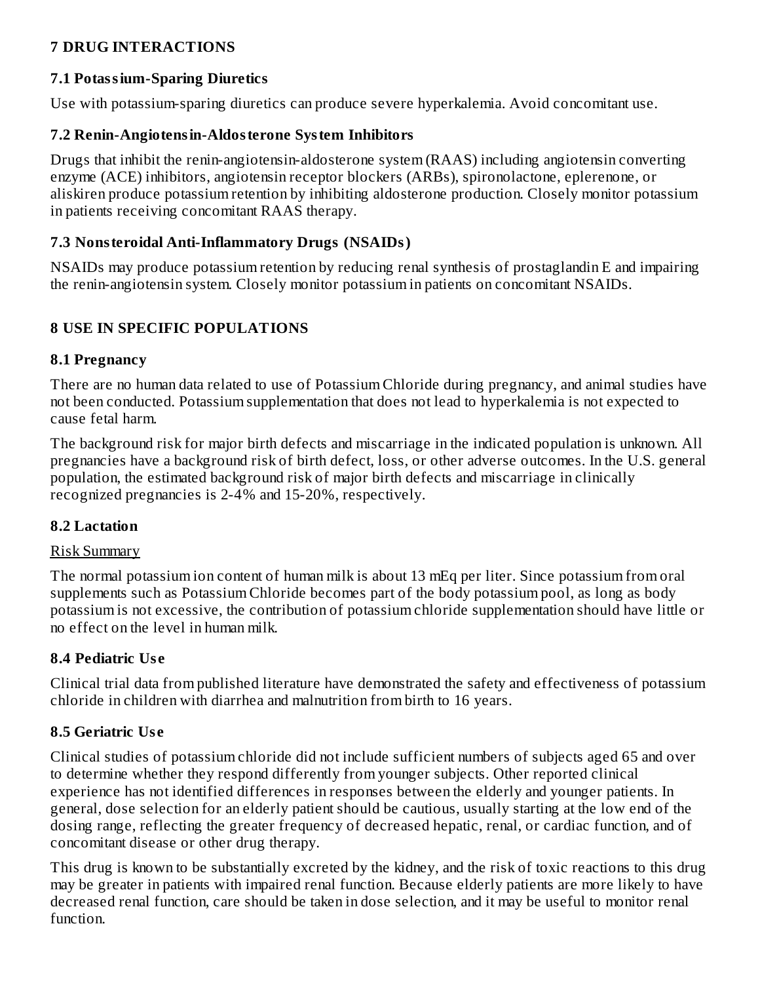## **7 DRUG INTERACTIONS**

#### **7.1 Potassium-Sparing Diuretics**

Use with potassium-sparing diuretics can produce severe hyperkalemia. Avoid concomitant use.

#### **7.2 Renin-Angiotensin-Aldosterone System Inhibitors**

Drugs that inhibit the renin-angiotensin-aldosterone system (RAAS) including angiotensin converting enzyme (ACE) inhibitors, angiotensin receptor blockers (ARBs), spironolactone, eplerenone, or aliskiren produce potassium retention by inhibiting aldosterone production. Closely monitor potassium in patients receiving concomitant RAAS therapy.

#### **7.3 Nonsteroidal Anti-Inflammatory Drugs (NSAIDs)**

NSAIDs may produce potassium retention by reducing renal synthesis of prostaglandin E and impairing the renin-angiotensin system. Closely monitor potassium in patients on concomitant NSAIDs.

## **8 USE IN SPECIFIC POPULATIONS**

#### **8.1 Pregnancy**

There are no human data related to use of Potassium Chloride during pregnancy, and animal studies have not been conducted. Potassium supplementation that does not lead to hyperkalemia is not expected to cause fetal harm.

The background risk for major birth defects and miscarriage in the indicated population is unknown. All pregnancies have a background risk of birth defect, loss, or other adverse outcomes. In the U.S. general population, the estimated background risk of major birth defects and miscarriage in clinically recognized pregnancies is 2-4% and 15-20%, respectively.

### **8.2 Lactation**

#### Risk Summary

The normal potassium ion content of human milk is about 13 mEq per liter. Since potassium from oral supplements such as Potassium Chloride becomes part of the body potassium pool, as long as body potassium is not excessive, the contribution of potassium chloride supplementation should have little or no effect on the level in human milk.

### **8.4 Pediatric Us e**

Clinical trial data from published literature have demonstrated the safety and effectiveness of potassium chloride in children with diarrhea and malnutrition from birth to 16 years.

### **8.5 Geriatric Us e**

Clinical studies of potassium chloride did not include sufficient numbers of subjects aged 65 and over to determine whether they respond differently from younger subjects. Other reported clinical experience has not identified differences in responses between the elderly and younger patients. In general, dose selection for an elderly patient should be cautious, usually starting at the low end of the dosing range, reflecting the greater frequency of decreased hepatic, renal, or cardiac function, and of concomitant disease or other drug therapy.

This drug is known to be substantially excreted by the kidney, and the risk of toxic reactions to this drug may be greater in patients with impaired renal function. Because elderly patients are more likely to have decreased renal function, care should be taken in dose selection, and it may be useful to monitor renal function.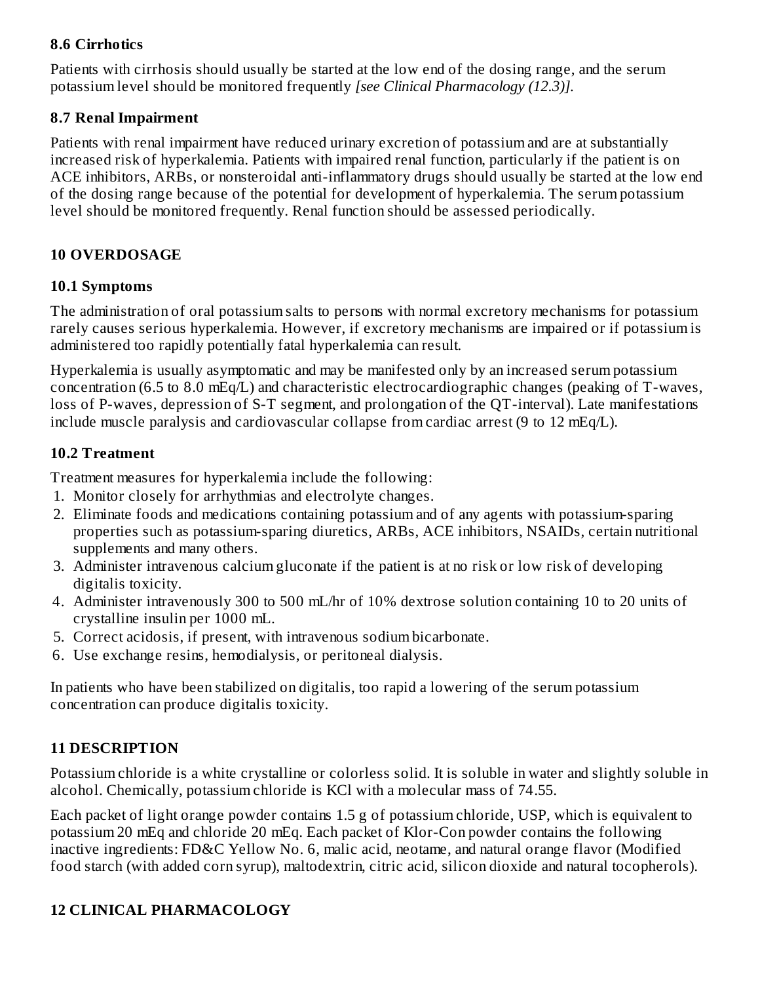#### **8.6 Cirrhotics**

Patients with cirrhosis should usually be started at the low end of the dosing range, and the serum potassium level should be monitored frequently *[see Clinical Pharmacology (12.3)].*

#### **8.7 Renal Impairment**

Patients with renal impairment have reduced urinary excretion of potassium and are at substantially increased risk of hyperkalemia. Patients with impaired renal function, particularly if the patient is on ACE inhibitors, ARBs, or nonsteroidal anti-inflammatory drugs should usually be started at the low end of the dosing range because of the potential for development of hyperkalemia. The serum potassium level should be monitored frequently. Renal function should be assessed periodically.

### **10 OVERDOSAGE**

#### **10.1 Symptoms**

The administration of oral potassium salts to persons with normal excretory mechanisms for potassium rarely causes serious hyperkalemia. However, if excretory mechanisms are impaired or if potassium is administered too rapidly potentially fatal hyperkalemia can result*.*

Hyperkalemia is usually asymptomatic and may be manifested only by an increased serum potassium concentration (6.5 to 8.0 mEq/L) and characteristic electrocardiographic changes (peaking of T-waves, loss of P-waves, depression of S-T segment, and prolongation of the QT-interval). Late manifestations include muscle paralysis and cardiovascular collapse from cardiac arrest (9 to 12 mEq/L).

### **10.2 Treatment**

Treatment measures for hyperkalemia include the following:

- 1. Monitor closely for arrhythmias and electrolyte changes.
- 2. Eliminate foods and medications containing potassium and of any agents with potassium-sparing properties such as potassium-sparing diuretics, ARBs, ACE inhibitors, NSAIDs, certain nutritional supplements and many others.
- 3. Administer intravenous calcium gluconate if the patient is at no risk or low risk of developing digitalis toxicity.
- 4. Administer intravenously 300 to 500 mL/hr of 10% dextrose solution containing 10 to 20 units of crystalline insulin per 1000 mL.
- 5. Correct acidosis, if present, with intravenous sodium bicarbonate.
- 6. Use exchange resins, hemodialysis, or peritoneal dialysis.

In patients who have been stabilized on digitalis, too rapid a lowering of the serum potassium concentration can produce digitalis toxicity.

### **11 DESCRIPTION**

Potassium chloride is a white crystalline or colorless solid. It is soluble in water and slightly soluble in alcohol. Chemically, potassium chloride is KCl with a molecular mass of 74.55.

Each packet of light orange powder contains 1.5 g of potassium chloride, USP, which is equivalent to potassium 20 mEq and chloride 20 mEq. Each packet of Klor-Con powder contains the following inactive ingredients: FD&C Yellow No. 6, malic acid, neotame, and natural orange flavor (Modified food starch (with added corn syrup), maltodextrin, citric acid, silicon dioxide and natural tocopherols).

## **12 CLINICAL PHARMACOLOGY**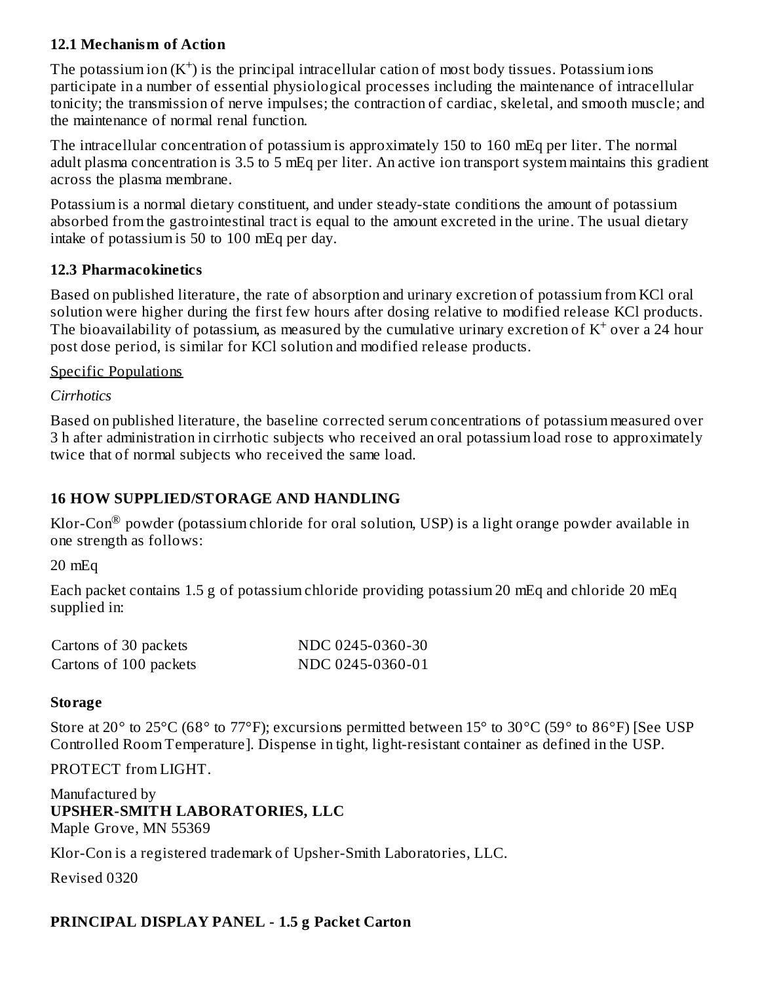### **12.1 Mechanism of Action**

The potassium ion  $(K^+)$  is the principal intracellular cation of most body tissues. Potassium ions participate in a number of essential physiological processes including the maintenance of intracellular tonicity; the transmission of nerve impulses; the contraction of cardiac, skeletal, and smooth muscle; and the maintenance of normal renal function.

The intracellular concentration of potassium is approximately 150 to 160 mEq per liter. The normal adult plasma concentration is 3.5 to 5 mEq per liter. An active ion transport system maintains this gradient across the plasma membrane.

Potassium is a normal dietary constituent, and under steady-state conditions the amount of potassium absorbed from the gastrointestinal tract is equal to the amount excreted in the urine. The usual dietary intake of potassium is 50 to 100 mEq per day.

#### **12.3 Pharmacokinetics**

Based on published literature, the rate of absorption and urinary excretion of potassium from KCl oral solution were higher during the first few hours after dosing relative to modified release KCl products. The bioavailability of potassium, as measured by the cumulative urinary excretion of  $K^+$  over a 24 hour post dose period, is similar for KCl solution and modified release products.

#### Specific Populations

*Cirrhotics*

Based on published literature, the baseline corrected serum concentrations of potassium measured over 3 h after administration in cirrhotic subjects who received an oral potassium load rose to approximately twice that of normal subjects who received the same load.

### **16 HOW SUPPLIED/STORAGE AND HANDLING**

Klor-Con $^{\circledR}$  powder (potassium chloride for oral solution, USP) is a light orange powder available in one strength as follows:

20 mEq

Each packet contains 1.5 g of potassium chloride providing potassium 20 mEq and chloride 20 mEq supplied in:

| Cartons of 30 packets  | NDC 0245-0360-30 |
|------------------------|------------------|
| Cartons of 100 packets | NDC 0245-0360-01 |

#### **Storage**

Store at 20° to 25°C (68° to 77°F); excursions permitted between 15° to 30°C (59° to 86°F) [See USP Controlled Room Temperature]. Dispense in tight, light-resistant container as defined in the USP.

PROTECT from LIGHT.

Manufactured by **UPSHER-SMITH LABORATORIES, LLC** Maple Grove, MN 55369 Klor-Con is a registered trademark of Upsher-Smith Laboratories, LLC.

Revised 0320

### **PRINCIPAL DISPLAY PANEL - 1.5 g Packet Carton**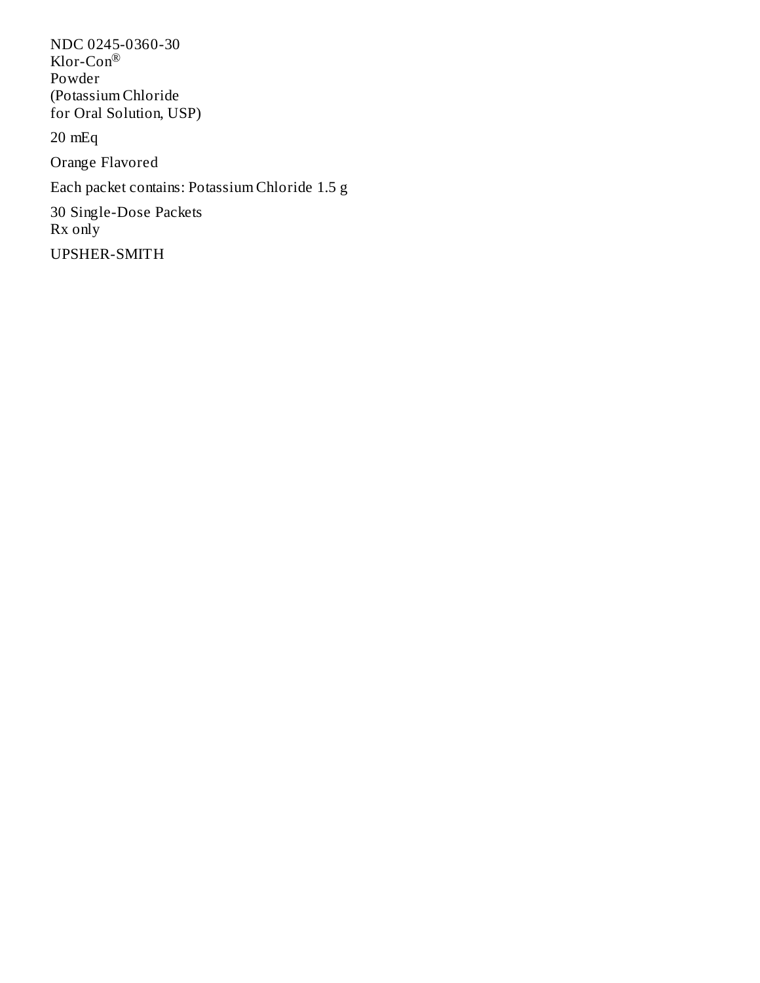NDC 0245-0360-30 Klor-Con ®Powder (Potassium Chloride for Oral Solution, USP) 20 mEq Orange Flavored Each packet contains: Potassium Chloride 1.5 g 30 Single-Dose Packets Rx only UPSHER-SMITH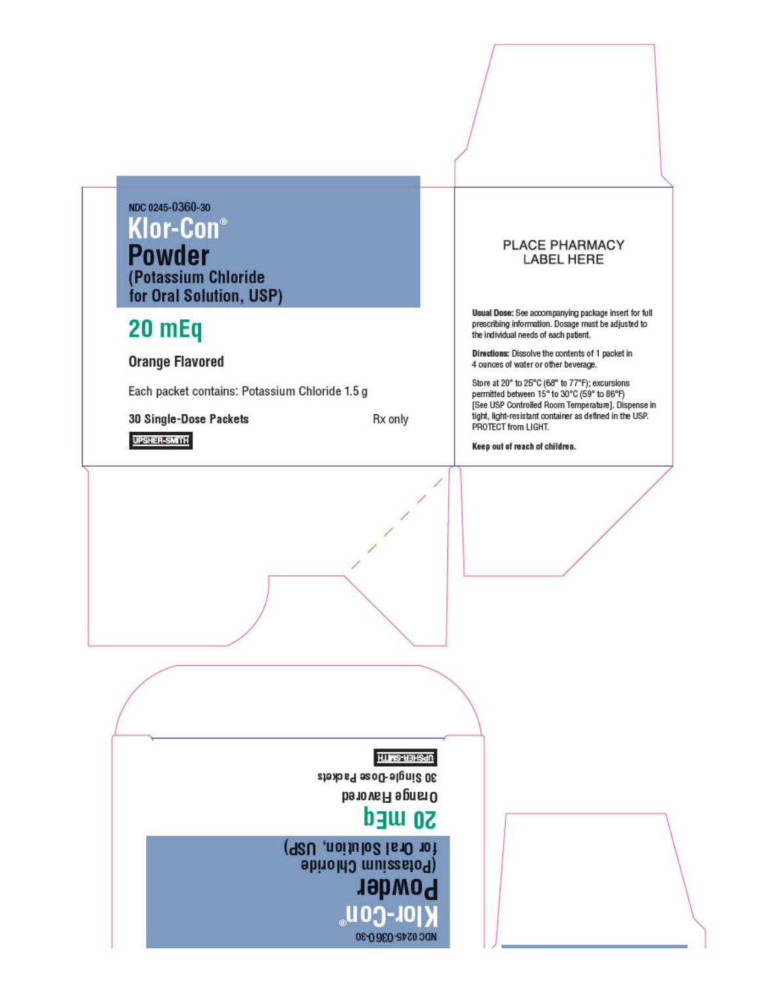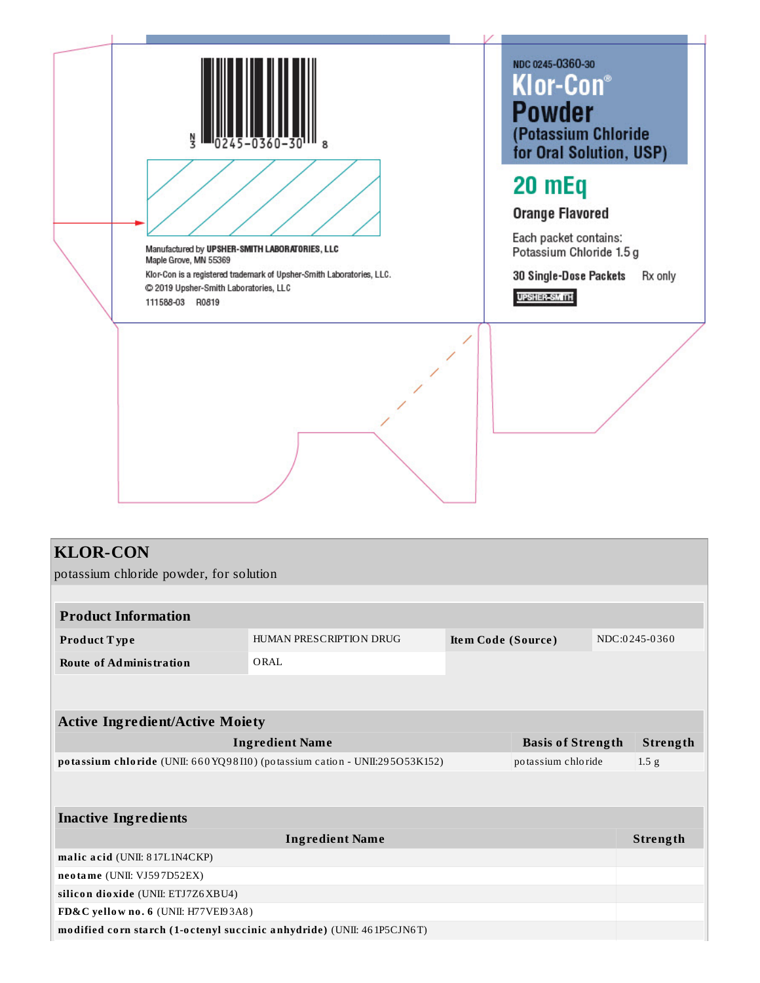

|  | <b>KLOR-CON</b> |
|--|-----------------|
|  |                 |

potassium chloride powder, for solution

| <b>Product Information</b>                                             |                                                                             |                    |                          |                  |
|------------------------------------------------------------------------|-----------------------------------------------------------------------------|--------------------|--------------------------|------------------|
| Product Type                                                           | HUMAN PRESCRIPTION DRUG                                                     | Item Code (Source) |                          | NDC:0245-0360    |
| <b>Route of Administration</b>                                         | ORAL                                                                        |                    |                          |                  |
|                                                                        |                                                                             |                    |                          |                  |
|                                                                        |                                                                             |                    |                          |                  |
| <b>Active Ingredient/Active Moiety</b>                                 |                                                                             |                    |                          |                  |
|                                                                        | <b>Ingredient Name</b>                                                      |                    | <b>Basis of Strength</b> | Strength         |
|                                                                        | potassium chloride (UNII: 660 YQ98110) (potassium cation - UNII:295O53K152) |                    | potassium chloride       | 1.5 <sub>g</sub> |
|                                                                        |                                                                             |                    |                          |                  |
|                                                                        |                                                                             |                    |                          |                  |
| <b>Inactive Ingredients</b>                                            |                                                                             |                    |                          |                  |
|                                                                        | <b>Ingredient Name</b>                                                      |                    |                          | Strength         |
| malic acid (UNII: 817L1N4CKP)                                          |                                                                             |                    |                          |                  |
| neotame (UNII: VJ597D52EX)                                             |                                                                             |                    |                          |                  |
| silicon dioxide (UNII: ETJ7Z6XBU4)                                     |                                                                             |                    |                          |                  |
| FD&C yellow no. 6 (UNII: H77VEI93A8)                                   |                                                                             |                    |                          |                  |
| modified corn starch (1-octenyl succinic anhydride) (UNII: 461P5CJN6T) |                                                                             |                    |                          |                  |